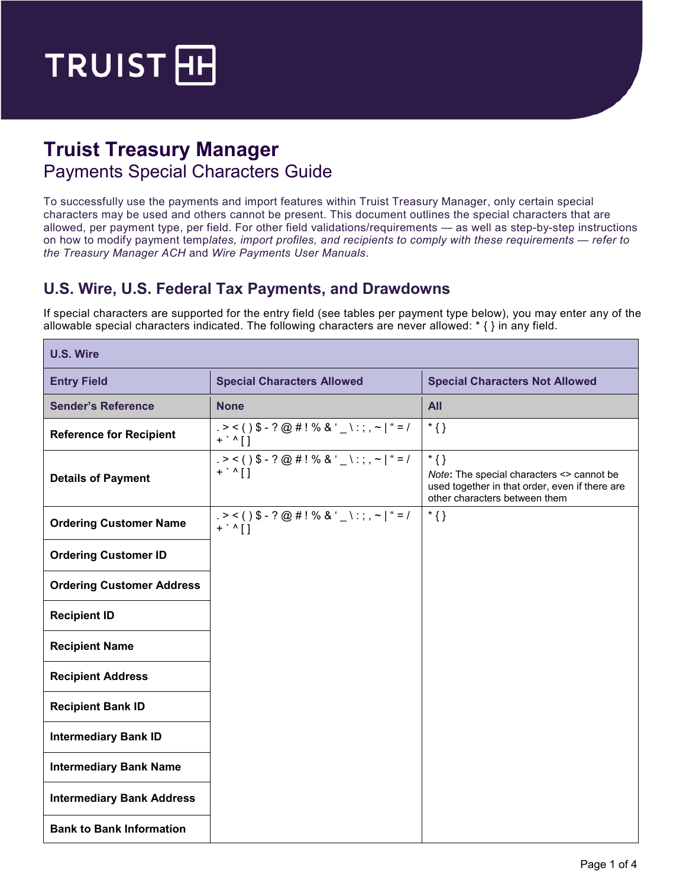

# **Truist Treasury Manager**  Payments Special Characters Guide

To successfully use the payments and import features within Truist Treasury Manager, only certain special characters may be used and others cannot be present. This document outlines the special characters that are allowed, per payment type, per field. For other field validations/requirements — as well as step-by-step instructions on how to modify payment temp*lates, import profiles, and recipients to comply with these requirements — refer to the Treasury Manager ACH* and *Wire Payments User Manuals*.

#### **U.S. Wire, U.S. Federal Tax Payments, and Drawdowns**

If special characters are supported for the entry field (see tables per payment type below), you may enter any of the allowable special characters indicated. The following characters are never allowed: \* { } in any field.

| <b>U.S. Wire</b>                 |                                                                                                                  |                                                                                                                                        |
|----------------------------------|------------------------------------------------------------------------------------------------------------------|----------------------------------------------------------------------------------------------------------------------------------------|
| <b>Entry Field</b>               | <b>Special Characters Allowed</b>                                                                                | <b>Special Characters Not Allowed</b>                                                                                                  |
| <b>Sender's Reference</b>        | <b>None</b>                                                                                                      | <b>All</b>                                                                                                                             |
| <b>Reference for Recipient</b>   | $. > < ($ $)$ \$ - ? @ # ! % & ' _ \ : ; , ~   " = /<br>$+$ $\cdot$ $\wedge$ $\upharpoonright$ $\upharpoonright$ | $*$ {}                                                                                                                                 |
| <b>Details of Payment</b>        | $. > < ($ $)$ \$ - ? @ # ! % & ' _ \ : ; , ~   " = /<br>$+$ $\backslash$ $\backslash$ $\backslash$               | $*$ {}<br>Note: The special characters <> cannot be<br>used together in that order, even if there are<br>other characters between them |
| <b>Ordering Customer Name</b>    | $. > < ($ $)$ \$ - ? @ # ! % & ' _ \ : ; , ~   " = /<br>$+$ $\wedge$ []                                          | $*$ {}                                                                                                                                 |
| <b>Ordering Customer ID</b>      |                                                                                                                  |                                                                                                                                        |
| <b>Ordering Customer Address</b> |                                                                                                                  |                                                                                                                                        |
| <b>Recipient ID</b>              |                                                                                                                  |                                                                                                                                        |
| <b>Recipient Name</b>            |                                                                                                                  |                                                                                                                                        |
| <b>Recipient Address</b>         |                                                                                                                  |                                                                                                                                        |
| <b>Recipient Bank ID</b>         |                                                                                                                  |                                                                                                                                        |
| <b>Intermediary Bank ID</b>      |                                                                                                                  |                                                                                                                                        |
| <b>Intermediary Bank Name</b>    |                                                                                                                  |                                                                                                                                        |
| <b>Intermediary Bank Address</b> |                                                                                                                  |                                                                                                                                        |
| <b>Bank to Bank Information</b>  |                                                                                                                  |                                                                                                                                        |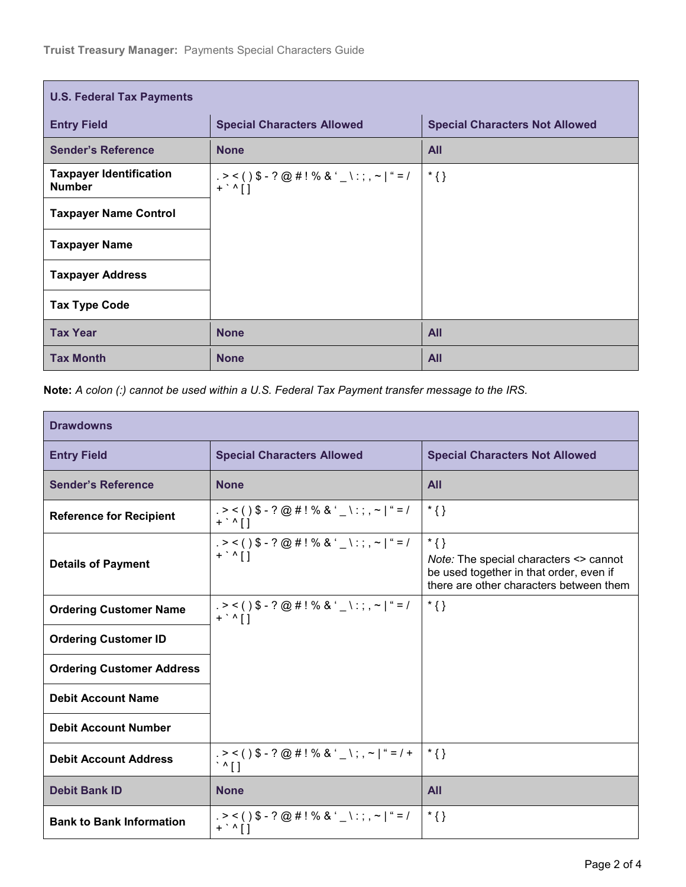| <b>U.S. Federal Tax Payments</b>                |                                                                                                              |                                       |  |  |
|-------------------------------------------------|--------------------------------------------------------------------------------------------------------------|---------------------------------------|--|--|
| <b>Entry Field</b>                              | <b>Special Characters Allowed</b>                                                                            | <b>Special Characters Not Allowed</b> |  |  |
| <b>Sender's Reference</b>                       | <b>None</b>                                                                                                  | <b>All</b>                            |  |  |
| <b>Taxpayer Identification</b><br><b>Number</b> | . > < ( ) \$ - ? @ # ! % & ' _ \ : ; , ~   " = /<br>$+$ $\cdot$ $\wedge$ $\upharpoonright$ $\upharpoonright$ | $\mathcal{F}\{\}$                     |  |  |
| <b>Taxpayer Name Control</b>                    |                                                                                                              |                                       |  |  |
| <b>Taxpayer Name</b>                            |                                                                                                              |                                       |  |  |
| <b>Taxpayer Address</b>                         |                                                                                                              |                                       |  |  |
| <b>Tax Type Code</b>                            |                                                                                                              |                                       |  |  |
| <b>Tax Year</b>                                 | <b>None</b>                                                                                                  | <b>All</b>                            |  |  |
| <b>Tax Month</b>                                | <b>None</b>                                                                                                  | <b>All</b>                            |  |  |

**Note:** *A colon (:) cannot be used within a U.S. Federal Tax Payment transfer message to the IRS.*

| <b>Drawdowns</b>                 |                                                                                                                |                                                                                                                                        |  |
|----------------------------------|----------------------------------------------------------------------------------------------------------------|----------------------------------------------------------------------------------------------------------------------------------------|--|
| <b>Entry Field</b>               | <b>Special Characters Allowed</b>                                                                              | <b>Special Characters Not Allowed</b>                                                                                                  |  |
| <b>Sender's Reference</b>        | <b>None</b>                                                                                                    | <b>All</b>                                                                                                                             |  |
| <b>Reference for Recipient</b>   | $. > < ($ ) \$ - ? @ # ! % & ' _ \ : ; , ~   " = /<br>$+$ $\cdot$ $\wedge$ $\upharpoonright$ $\upharpoonright$ | $*$ {}                                                                                                                                 |  |
| <b>Details of Payment</b>        | $. > < ($ $)$ \$ - ? @ # ! % & ' _ \ : ; , ~   " = /<br>$+$ , $\sqrt{1}$                                       | $*$ {}<br>Note: The special characters <> cannot<br>be used together in that order, even if<br>there are other characters between them |  |
| <b>Ordering Customer Name</b>    | $. > < ( )$ \$ - ? @ # ! % & ' _ \ : ; , ~   " = /<br>$+$ $\cdot$ $\wedge$ $\lceil$ $\rceil$                   | $*$ {}                                                                                                                                 |  |
| <b>Ordering Customer ID</b>      |                                                                                                                |                                                                                                                                        |  |
| <b>Ordering Customer Address</b> |                                                                                                                |                                                                                                                                        |  |
| <b>Debit Account Name</b>        |                                                                                                                |                                                                                                                                        |  |
| <b>Debit Account Number</b>      |                                                                                                                |                                                                                                                                        |  |
| <b>Debit Account Address</b>     | $. > < ($ $)$ \$ - ? @ # ! % & ' _ \;, ~   " = / +<br>$\cdot$ ^ []                                             | $*$ {}                                                                                                                                 |  |
| <b>Debit Bank ID</b>             | <b>None</b>                                                                                                    | <b>All</b>                                                                                                                             |  |
| <b>Bank to Bank Information</b>  | $. > < ($ ) \$ - ? @ # ! % & ' _ \ : ; , ~   " = /<br>$+$ $\cdot$ $\wedge$ $\left[ \ \right]$                  | $*$ {}                                                                                                                                 |  |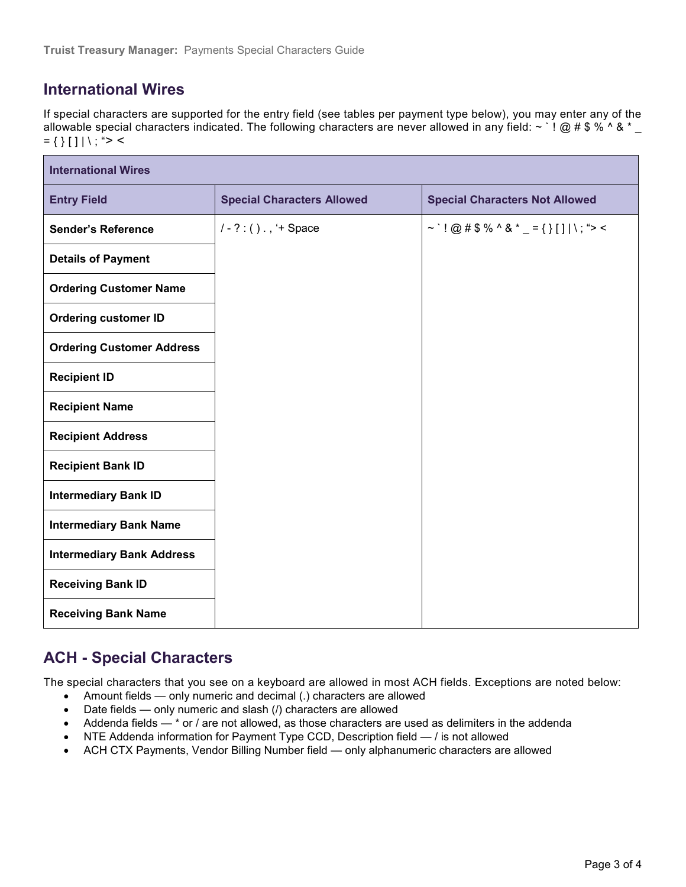## **International Wires**

If special characters are supported for the entry field (see tables per payment type below), you may enter any of the allowable special characters indicated. The following characters are never allowed in any field:  $\sim$  ' ! @ # \$ % ^ &  $^*$  $= \{ \} [ ] | \setminus ; ">$ 

| <b>International Wires</b>       |                                   |                                           |  |  |
|----------------------------------|-----------------------------------|-------------------------------------------|--|--|
| <b>Entry Field</b>               | <b>Special Characters Allowed</b> | <b>Special Characters Not Allowed</b>     |  |  |
| <b>Sender's Reference</b>        | $1 - ? : ( ) . , '+ Space$        | ~ `! @ # \$ % ^ & * _ = { } [ ]   \; "> < |  |  |
| <b>Details of Payment</b>        |                                   |                                           |  |  |
| <b>Ordering Customer Name</b>    |                                   |                                           |  |  |
| <b>Ordering customer ID</b>      |                                   |                                           |  |  |
| <b>Ordering Customer Address</b> |                                   |                                           |  |  |
| <b>Recipient ID</b>              |                                   |                                           |  |  |
| <b>Recipient Name</b>            |                                   |                                           |  |  |
| <b>Recipient Address</b>         |                                   |                                           |  |  |
| <b>Recipient Bank ID</b>         |                                   |                                           |  |  |
| <b>Intermediary Bank ID</b>      |                                   |                                           |  |  |
| <b>Intermediary Bank Name</b>    |                                   |                                           |  |  |
| <b>Intermediary Bank Address</b> |                                   |                                           |  |  |
| <b>Receiving Bank ID</b>         |                                   |                                           |  |  |
| <b>Receiving Bank Name</b>       |                                   |                                           |  |  |

### **ACH - Special Characters**

The special characters that you see on a keyboard are allowed in most ACH fields. Exceptions are noted below:

- Amount fields only numeric and decimal (.) characters are allowed
- Date fields only numeric and slash (/) characters are allowed
- Addenda fields \* or / are not allowed, as those characters are used as delimiters in the addenda
- NTE Addenda information for Payment Type CCD, Description field / is not allowed
- ACH CTX Payments, Vendor Billing Number field only alphanumeric characters are allowed